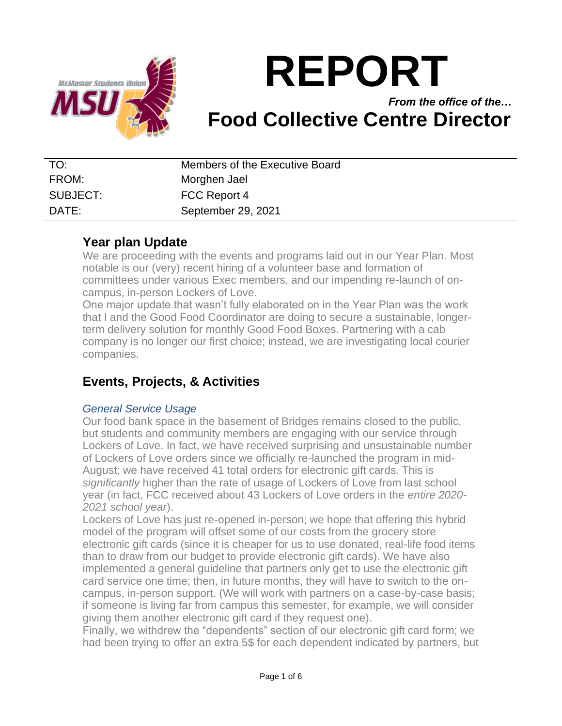

# **REPORT**

## *From the office of the…* **Food Collective Centre Director**

| TO:      | Members of the Executive Board |
|----------|--------------------------------|
| FROM:    | Morghen Jael                   |
| SUBJECT: | FCC Report 4                   |
| DATF:    | September 29, 2021             |

#### **Year plan Update**

We are proceeding with the events and programs laid out in our Year Plan. Most notable is our (very) recent hiring of a volunteer base and formation of committees under various Exec members, and our impending re-launch of oncampus, in-person Lockers of Love.

One major update that wasn't fully elaborated on in the Year Plan was the work that I and the Good Food Coordinator are doing to secure a sustainable, longerterm delivery solution for monthly Good Food Boxes. Partnering with a cab company is no longer our first choice; instead, we are investigating local courier companies.

## **Events, Projects, & Activities**

#### *General Service Usage*

Our food bank space in the basement of Bridges remains closed to the public, but students and community members are engaging with our service through Lockers of Love. In fact, we have received surprising and unsustainable number of Lockers of Love orders since we officially re-launched the program in mid-August; we have received 41 total orders for electronic gift cards. This is *significantly* higher than the rate of usage of Lockers of Love from last school year (in fact, FCC received about 43 Lockers of Love orders in the *entire 2020- 2021 school year*).

Lockers of Love has just re-opened in-person; we hope that offering this hybrid model of the program will offset some of our costs from the grocery store electronic gift cards (since it is cheaper for us to use donated, real-life food items than to draw from our budget to provide electronic gift cards). We have also implemented a general guideline that partners only get to use the electronic gift card service one time; then, in future months, they will have to switch to the oncampus, in-person support. (We will work with partners on a case-by-case basis; if someone is living far from campus this semester, for example, we will consider giving them another electronic gift card if they request one).

Finally, we withdrew the "dependents" section of our electronic gift card form; we had been trying to offer an extra 5\$ for each dependent indicated by partners, but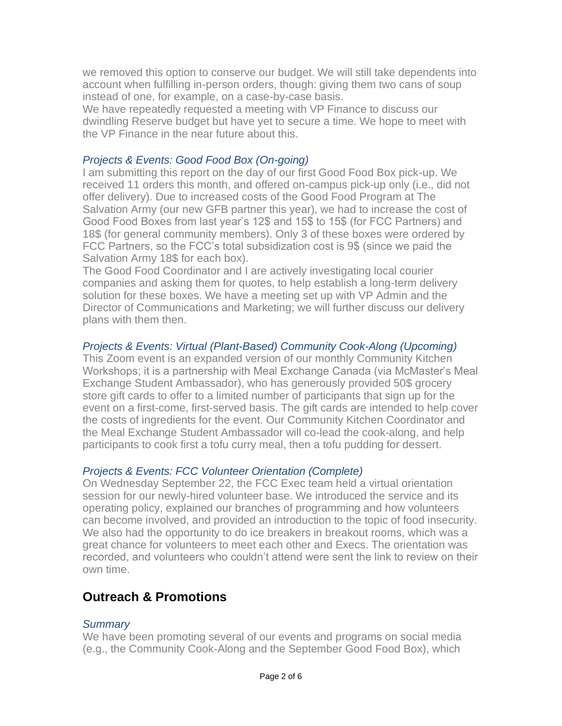we removed this option to conserve our budget. We will still take dependents into account when fulfilling in-person orders, though: giving them two cans of soup instead of one, for example, on a case-by-case basis.

We have repeatedly requested a meeting with VP Finance to discuss our dwindling Reserve budget but have yet to secure a time. We hope to meet with the VP Finance in the near future about this.

#### *Projects & Events: Good Food Box (On-going)*

I am submitting this report on the day of our first Good Food Box pick-up. We received 11 orders this month, and offered on-campus pick-up only (i.e., did not offer delivery). Due to increased costs of the Good Food Program at The Salvation Army (our new GFB partner this year), we had to increase the cost of Good Food Boxes from last year's 12\$ and 15\$ to 15\$ (for FCC Partners) and 18\$ (for general community members). Only 3 of these boxes were ordered by FCC Partners, so the FCC's total subsidization cost is 9\$ (since we paid the Salvation Army 18\$ for each box).

The Good Food Coordinator and I are actively investigating local courier companies and asking them for quotes, to help establish a long-term delivery solution for these boxes. We have a meeting set up with VP Admin and the Director of Communications and Marketing; we will further discuss our delivery plans with them then.

#### *Projects & Events: Virtual (Plant-Based) Community Cook-Along (Upcoming)*

This Zoom event is an expanded version of our monthly Community Kitchen Workshops; it is a partnership with Meal Exchange Canada (via McMaster's Meal Exchange Student Ambassador), who has generously provided 50\$ grocery store gift cards to offer to a limited number of participants that sign up for the event on a first-come, first-served basis. The gift cards are intended to help cover the costs of ingredients for the event. Our Community Kitchen Coordinator and the Meal Exchange Student Ambassador will co-lead the cook-along, and help participants to cook first a tofu curry meal, then a tofu pudding for dessert.

#### *Projects & Events: FCC Volunteer Orientation (Complete)*

On Wednesday September 22, the FCC Exec team held a virtual orientation session for our newly-hired volunteer base. We introduced the service and its operating policy, explained our branches of programming and how volunteers can become involved, and provided an introduction to the topic of food insecurity. We also had the opportunity to do ice breakers in breakout rooms, which was a great chance for volunteers to meet each other and Execs. The orientation was recorded, and volunteers who couldn't attend were sent the link to review on their own time.

## **Outreach & Promotions**

#### *Summary*

We have been promoting several of our events and programs on social media (e.g., the Community Cook-Along and the September Good Food Box), which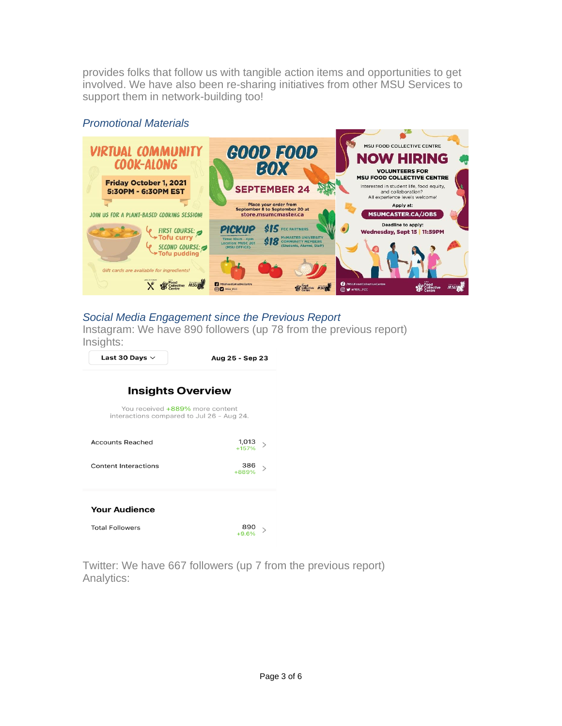provides folks that follow us with tangible action items and opportunities to get involved. We have also been re-sharing initiatives from other MSU Services to support them in network-building too!

#### *Promotional Materials*



## *Social Media Engagement since the Previous Report*

Instagram: We have 890 followers (up 78 from the previous report) Insights:





Twitter: We have 667 followers (up 7 from the previous report) Analytics: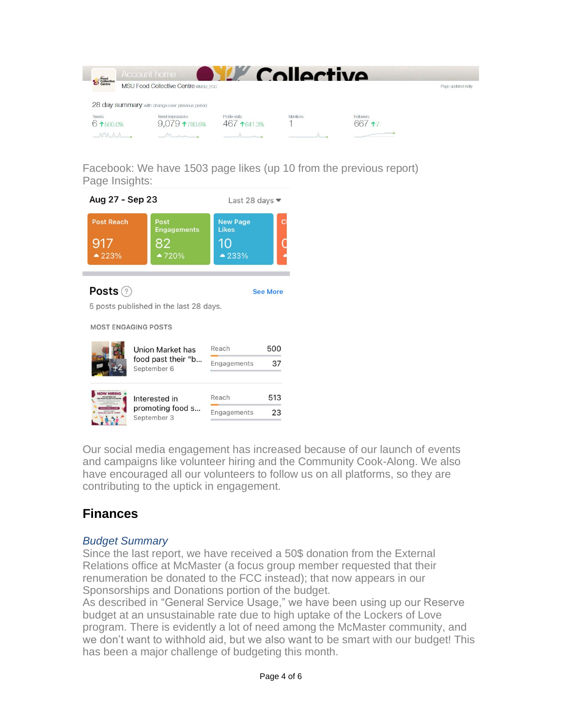|                           | Account home                                    |                                 | Collective |                     |                    |
|---------------------------|-------------------------------------------------|---------------------------------|------------|---------------------|--------------------|
| <b>Pood</b><br>Collective | <b>MSU Food Collective Centre @MSU FCC</b>      |                                 |            |                     | Page updated daily |
|                           | 28 day summary with change over previous period |                                 |            |                     |                    |
| <b>Tweets</b><br>61500.0% | Tweet impressions<br>$9,079$ 1780.6%            | Profile visits<br>$467$ 1641.3% | Mentions   | Followers<br>667 17 |                    |
| MAAA                      | MAR                                             |                                 |            |                     |                    |

Facebook: We have 1503 page likes (up 10 from the previous report) Page Insights:



Our social media engagement has increased because of our launch of events and campaigns like volunteer hiring and the Community Cook-Along. We also have encouraged all our volunteers to follow us on all platforms, so they are contributing to the uptick in engagement.

## **Finances**

#### *Budget Summary*

Since the last report, we have received a 50\$ donation from the External Relations office at McMaster (a focus group member requested that their renumeration be donated to the FCC instead); that now appears in our Sponsorships and Donations portion of the budget.

As described in "General Service Usage," we have been using up our Reserve budget at an unsustainable rate due to high uptake of the Lockers of Love program. There is evidently a lot of need among the McMaster community, and we don't want to withhold aid, but we also want to be smart with our budget! This has been a major challenge of budgeting this month.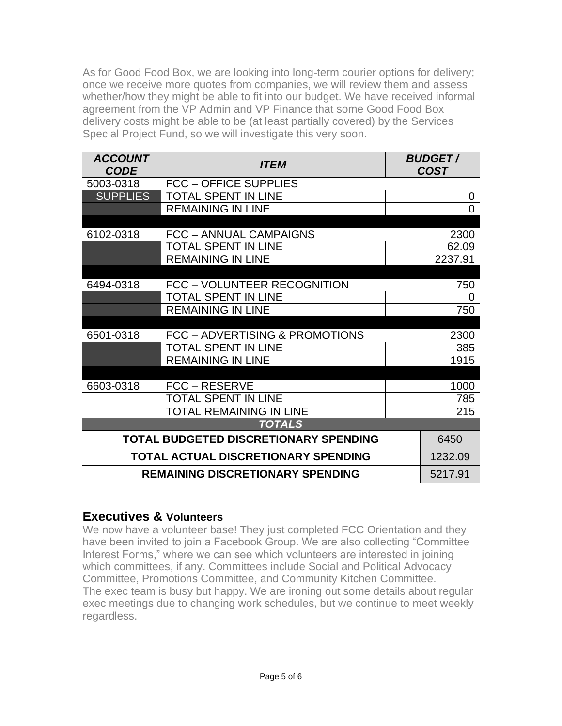As for Good Food Box, we are looking into long-term courier options for delivery; once we receive more quotes from companies, we will review them and assess whether/how they might be able to fit into our budget. We have received informal agreement from the VP Admin and VP Finance that some Good Food Box delivery costs might be able to be (at least partially covered) by the Services Special Project Fund, so we will investigate this very soon.

| <b>ACCOUNT</b><br><b>CODE</b>         | <i><b>ITEM</b></i>                      |  | <b>BUDGET/</b><br><b>COST</b> |  |  |
|---------------------------------------|-----------------------------------------|--|-------------------------------|--|--|
| 5003-0318                             | <b>FCC - OFFICE SUPPLIES</b>            |  |                               |  |  |
| <b>SUPPLIES</b>                       | <b>TOTAL SPENT IN LINE</b>              |  | 0                             |  |  |
|                                       | <b>REMAINING IN LINE</b>                |  | $\Omega$                      |  |  |
|                                       |                                         |  |                               |  |  |
| 6102-0318                             | FCC - ANNUAL CAMPAIGNS                  |  | 2300                          |  |  |
|                                       | <b>TOTAL SPENT IN LINE</b>              |  | 62.09                         |  |  |
|                                       | <b>REMAINING IN LINE</b>                |  | 2237.91                       |  |  |
| 6494-0318                             | FCC - VOLUNTEER RECOGNITION             |  | 750                           |  |  |
|                                       | <b>TOTAL SPENT IN LINE</b>              |  | 0                             |  |  |
|                                       | <b>REMAINING IN LINE</b>                |  | 750                           |  |  |
|                                       |                                         |  |                               |  |  |
| 6501-0318                             | FCC - ADVERTISING & PROMOTIONS          |  | 2300                          |  |  |
|                                       | <b>TOTAL SPENT IN LINE</b>              |  | 385                           |  |  |
|                                       | <b>REMAINING IN LINE</b>                |  | 1915                          |  |  |
|                                       |                                         |  |                               |  |  |
| 6603-0318                             | FCC - RESERVE                           |  | 1000                          |  |  |
|                                       | <b>TOTAL SPENT IN LINE</b>              |  | 785                           |  |  |
|                                       | <b>TOTAL REMAINING IN LINE</b>          |  | 215                           |  |  |
| <b>TOTALS</b>                         |                                         |  |                               |  |  |
| TOTAL BUDGETED DISCRETIONARY SPENDING |                                         |  | 6450                          |  |  |
| TOTAL ACTUAL DISCRETIONARY SPENDING   |                                         |  | 1232.09                       |  |  |
|                                       | <b>REMAINING DISCRETIONARY SPENDING</b> |  | 5217.91                       |  |  |

## **Executives & Volunteers**

We now have a volunteer base! They just completed FCC Orientation and they have been invited to join a Facebook Group. We are also collecting "Committee Interest Forms," where we can see which volunteers are interested in joining which committees, if any. Committees include Social and Political Advocacy Committee, Promotions Committee, and Community Kitchen Committee. The exec team is busy but happy. We are ironing out some details about regular exec meetings due to changing work schedules, but we continue to meet weekly regardless.